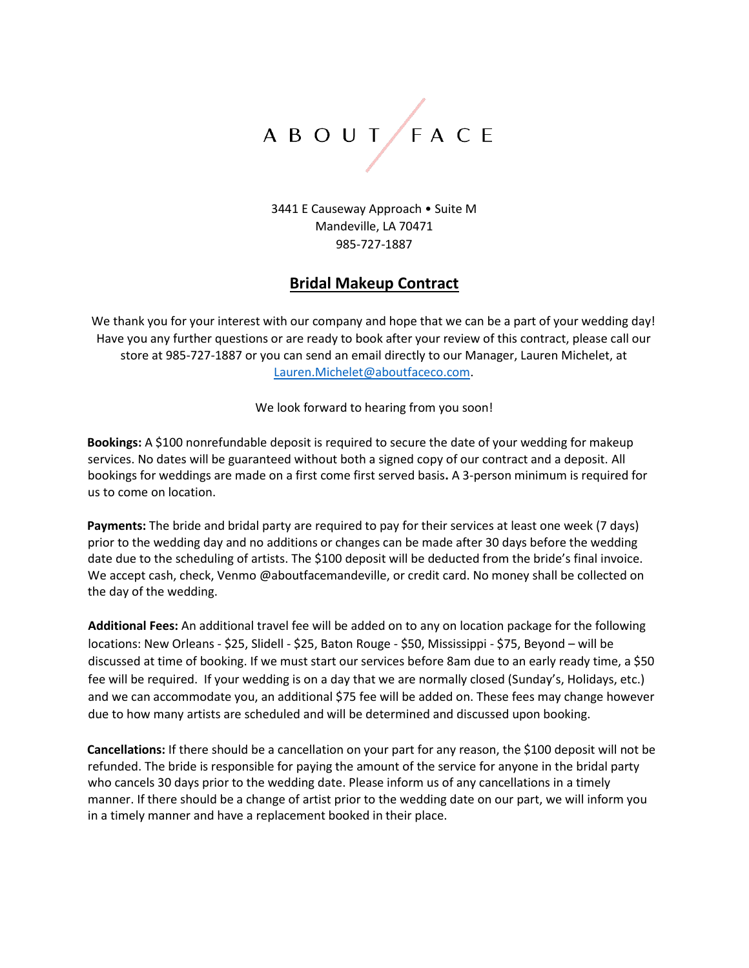# A B O U T F A C E

3441 E Causeway Approach • Suite M Mandeville, LA 70471 985-727-1887

#### **Bridal Makeup Contract**

We thank you for your interest with our company and hope that we can be a part of your wedding day! Have you any further questions or are ready to book after your review of this contract, please call our store at 985-727-1887 or you can send an email directly to our Manager, Lauren Michelet, at Lauren.Michelet@aboutfaceco.com.

We look forward to hearing from you soon!

**Bookings:** A \$100 nonrefundable deposit is required to secure the date of your wedding for makeup services. No dates will be guaranteed without both a signed copy of our contract and a deposit. All bookings for weddings are made on a first come first served basis**.** A 3-person minimum is required for us to come on location.

**Payments:** The bride and bridal party are required to pay for their services at least one week (7 days) prior to the wedding day and no additions or changes can be made after 30 days before the wedding date due to the scheduling of artists. The \$100 deposit will be deducted from the bride's final invoice. We accept cash, check, Venmo @aboutfacemandeville, or credit card. No money shall be collected on the day of the wedding.

**Additional Fees:** An additional travel fee will be added on to any on location package for the following locations: New Orleans - \$25, Slidell - \$25, Baton Rouge - \$50, Mississippi - \$75, Beyond – will be discussed at time of booking. If we must start our services before 8am due to an early ready time, a \$50 fee will be required. If your wedding is on a day that we are normally closed (Sunday's, Holidays, etc.) and we can accommodate you, an additional \$75 fee will be added on. These fees may change however due to how many artists are scheduled and will be determined and discussed upon booking.

**Cancellations:** If there should be a cancellation on your part for any reason, the \$100 deposit will not be refunded. The bride is responsible for paying the amount of the service for anyone in the bridal party who cancels 30 days prior to the wedding date. Please inform us of any cancellations in a timely manner. If there should be a change of artist prior to the wedding date on our part, we will inform you in a timely manner and have a replacement booked in their place.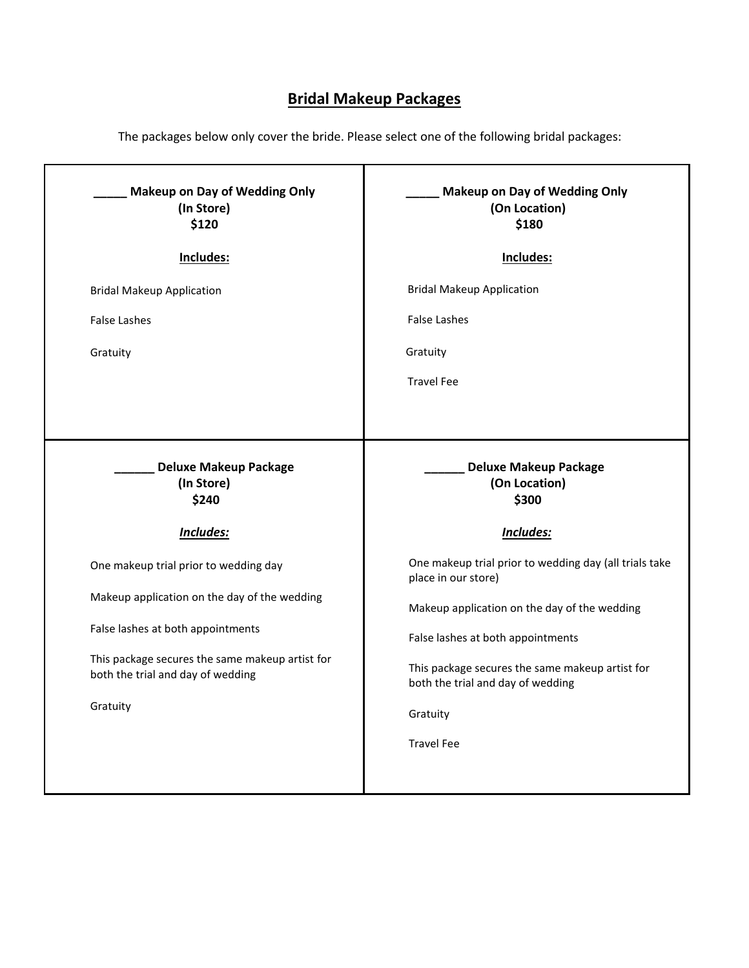# **Bridal Makeup Packages**

The packages below only cover the bride. Please select one of the following bridal packages:

| <b>Makeup on Day of Wedding Only</b><br>(On Location)<br>\$180                       |  |  |
|--------------------------------------------------------------------------------------|--|--|
| Includes:                                                                            |  |  |
| <b>Bridal Makeup Application</b>                                                     |  |  |
| <b>False Lashes</b>                                                                  |  |  |
| Gratuity                                                                             |  |  |
| <b>Travel Fee</b>                                                                    |  |  |
|                                                                                      |  |  |
| <b>Deluxe Makeup Package</b><br>(On Location)<br>\$300                               |  |  |
| Includes:                                                                            |  |  |
| One makeup trial prior to wedding day (all trials take<br>place in our store)        |  |  |
| Makeup application on the day of the wedding                                         |  |  |
| False lashes at both appointments                                                    |  |  |
| This package secures the same makeup artist for<br>both the trial and day of wedding |  |  |
| Gratuity                                                                             |  |  |
| <b>Travel Fee</b>                                                                    |  |  |
|                                                                                      |  |  |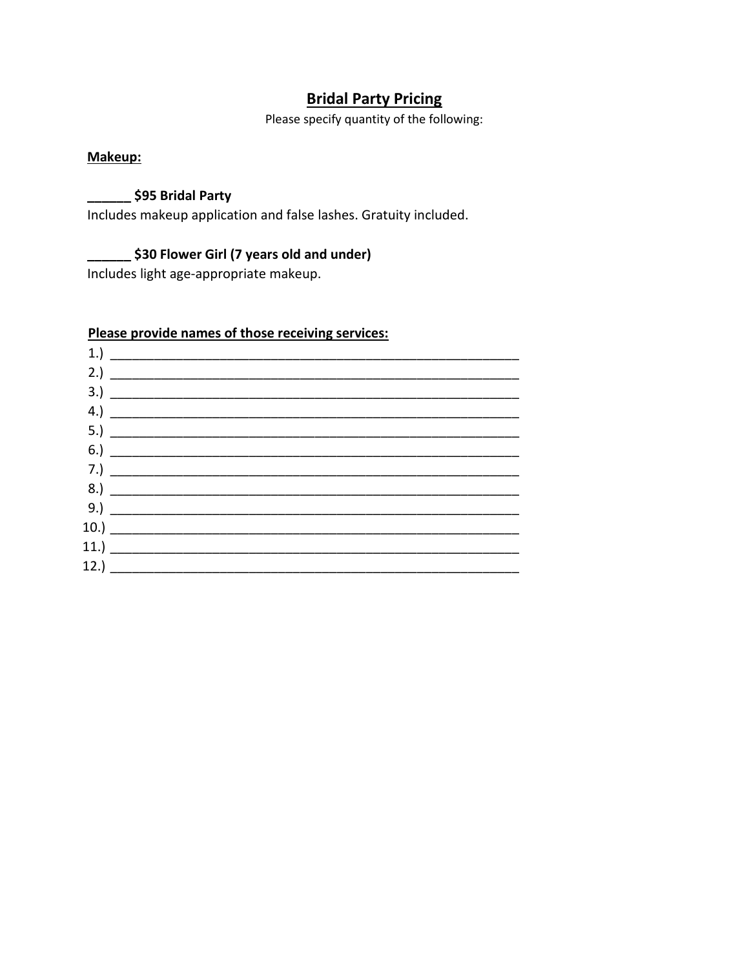# **Bridal Party Pricing**

Please specify quantity of the following:

#### Makeup:

#### \$95 Bridal Party

Includes makeup application and false lashes. Gratuity included.

# **S30 Flower Girl (7 years old and under)**

Includes light age-appropriate makeup.

# Please provide names of those receiving services:

| $1.) \ \ \$         |                                                  |  |  |
|---------------------|--------------------------------------------------|--|--|
| 2.) $\qquad \qquad$ |                                                  |  |  |
|                     |                                                  |  |  |
|                     | $\left( \begin{array}{c} 4. \end{array} \right)$ |  |  |
|                     |                                                  |  |  |
|                     |                                                  |  |  |
|                     |                                                  |  |  |
| 8.)                 |                                                  |  |  |
| 9.)                 |                                                  |  |  |
|                     |                                                  |  |  |
|                     |                                                  |  |  |
|                     |                                                  |  |  |
|                     |                                                  |  |  |